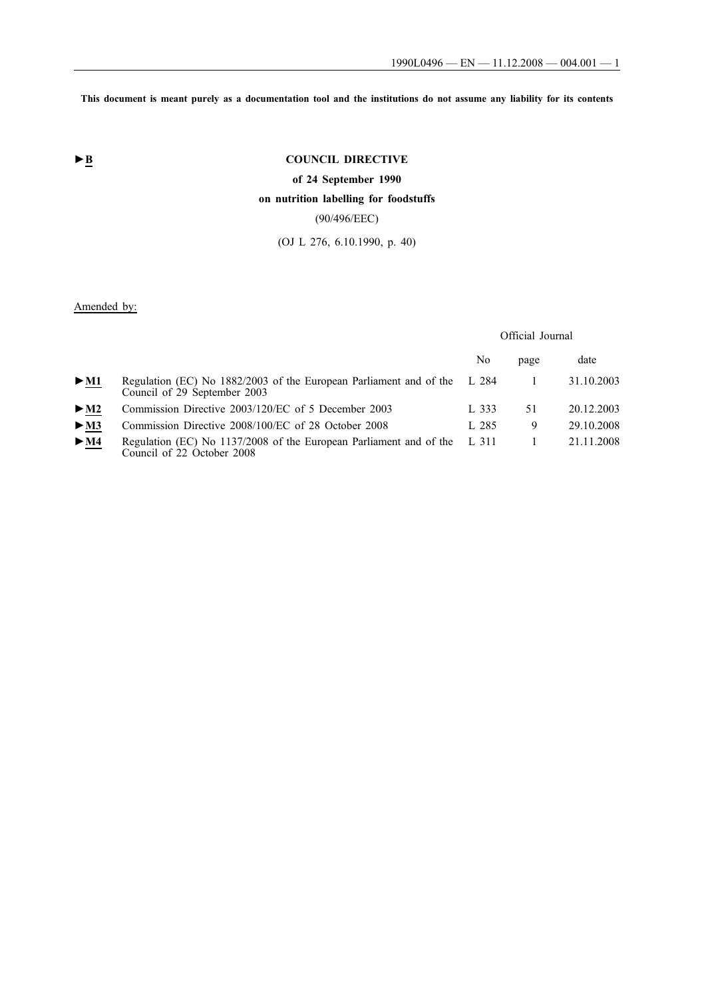**This document is meant purely as a documentation tool and the institutions do not assume any liability for its contents**

# ► **B** COUNCIL DIRECTIVE

**of 24 September 1990**

# **on nutrition labelling for foodstuffs**

(90/496/EEC)

(OJ L 276, 6.10.1990, p. 40)

Amended by:

# Official Journal

|                            |                                                                                                          | No    | page | date       |
|----------------------------|----------------------------------------------------------------------------------------------------------|-------|------|------------|
| $\triangleright$ <u>M1</u> | Regulation (EC) No 1882/2003 of the European Parliament and of the L 284<br>Council of 29 September 2003 |       |      | 31.10.2003 |
| $>$ M2                     | Commission Directive 2003/120/EC of 5 December 2003                                                      | L 333 | 51   | 20.12.2003 |
| $>$ M3                     | Commission Directive 2008/100/EC of 28 October 2008                                                      | L 285 | 9    | 29.10.2008 |
| > M4                       | Regulation (EC) No 1137/2008 of the European Parliament and of the L 311<br>Council of 22 October 2008   |       |      | 21.11.2008 |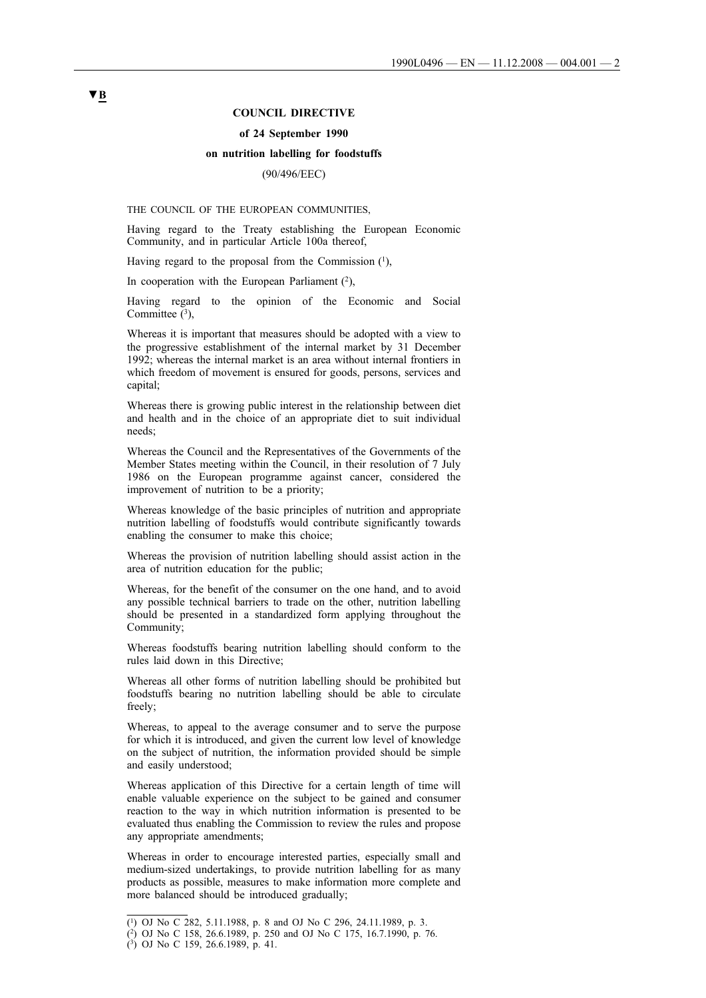#### **COUNCIL DIRECTIVE**

#### **of 24 September 1990**

#### **on nutrition labelling for foodstuffs**

## (90/496/EEC)

THE COUNCIL OF THE EUROPEAN COMMUNITIES,

Having regard to the Treaty establishing the European Economic Community, and in particular Article 100a thereof,

Having regard to the proposal from the Commission  $(1)$ ,

In cooperation with the European Parliament  $(2)$ ,

Having regard to the opinion of the Economic and Social Committee  $(3)$ ,

Whereas it is important that measures should be adopted with a view to the progressive establishment of the internal market by 31 December 1992; whereas the internal market is an area without internal frontiers in which freedom of movement is ensured for goods, persons, services and capital;

Whereas there is growing public interest in the relationship between diet and health and in the choice of an appropriate diet to suit individual needs;

Whereas the Council and the Representatives of the Governments of the Member States meeting within the Council, in their resolution of 7 July 1986 on the European programme against cancer, considered the improvement of nutrition to be a priority;

Whereas knowledge of the basic principles of nutrition and appropriate nutrition labelling of foodstuffs would contribute significantly towards enabling the consumer to make this choice;

Whereas the provision of nutrition labelling should assist action in the area of nutrition education for the public;

Whereas, for the benefit of the consumer on the one hand, and to avoid any possible technical barriers to trade on the other, nutrition labelling should be presented in a standardized form applying throughout the Community;

Whereas foodstuffs bearing nutrition labelling should conform to the rules laid down in this Directive;

Whereas all other forms of nutrition labelling should be prohibited but foodstuffs bearing no nutrition labelling should be able to circulate freely;

Whereas, to appeal to the average consumer and to serve the purpose for which it is introduced, and given the current low level of knowledge on the subject of nutrition, the information provided should be simple and easily understood;

Whereas application of this Directive for a certain length of time will enable valuable experience on the subject to be gained and consumer reaction to the way in which nutrition information is presented to be evaluated thus enabling the Commission to review the rules and propose any appropriate amendments;

Whereas in order to encourage interested parties, especially small and medium-sized undertakings, to provide nutrition labelling for as many products as possible, measures to make information more complete and more balanced should be introduced gradually;

<sup>(1)</sup> OJ No C 282, 5.11.1988, p. 8 and OJ No C 296, 24.11.1989, p. 3.

<sup>(2)</sup> OJ No C 158, 26.6.1989, p. 250 and OJ No C 175, 16.7.1990, p. 76.

<sup>(3)</sup> OJ No C 159, 26.6.1989, p. 41.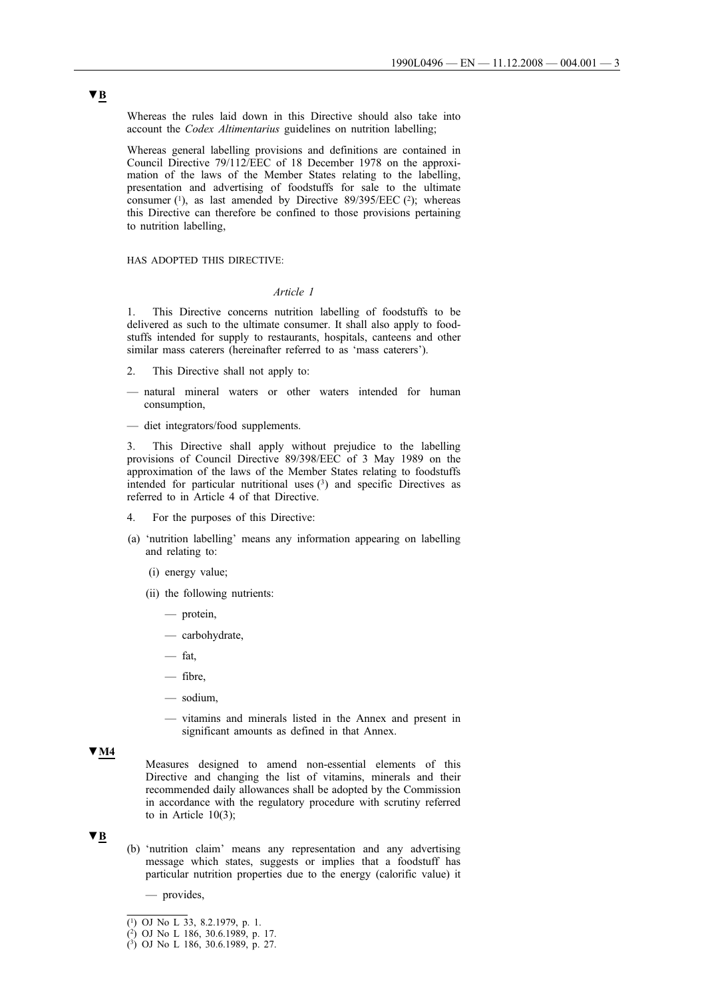Whereas the rules laid down in this Directive should also take into account the *Codex Altimentarius* guidelines on nutrition labelling;

Whereas general labelling provisions and definitions are contained in Council Directive 79/112/EEC of 18 December 1978 on the approximation of the laws of the Member States relating to the labelling, presentation and advertising of foodstuffs for sale to the ultimate consumer  $(1)$ , as last amended by Directive 89/395/EEC  $(2)$ ; whereas this Directive can therefore be confined to those provisions pertaining to nutrition labelling,

HAS ADOPTED THIS DIRECTIVE:

### *Article 1*

1. This Directive concerns nutrition labelling of foodstuffs to be delivered as such to the ultimate consumer. It shall also apply to foodstuffs intended for supply to restaurants, hospitals, canteens and other similar mass caterers (hereinafter referred to as 'mass caterers').

- 2. This Directive shall not apply to:
- natural mineral waters or other waters intended for human consumption,
- diet integrators/food supplements.

3. This Directive shall apply without prejudice to the labelling provisions of Council Directive 89/398/EEC of 3 May 1989 on the approximation of the laws of the Member States relating to foodstuffs intended for particular nutritional uses  $(3)$  and specific Directives as referred to in Article 4 of that Directive.

- For the purposes of this Directive:
- (a) 'nutrition labelling' means any information appearing on labelling and relating to:
	- (i) energy value;
	- (ii) the following nutrients:
		- protein,
		- carbohydrate,
		- fat,
		- fibre,
		- sodium,
		- vitamins and minerals listed in the Annex and present in significant amounts as defined in that Annex.

## **▼M4**

Measures designed to amend non-essential elements of this Directive and changing the list of vitamins, minerals and their recommended daily allowances shall be adopted by the Commission in accordance with the regulatory procedure with scrutiny referred to in Article 10(3);

## **▼B**

- (b) 'nutrition claim' means any representation and any advertising message which states, suggests or implies that a foodstuff has particular nutrition properties due to the energy (calorific value) it
	- provides,

 $\overline{(^1)}$  OJ No L 33, 8.2.1979, p. 1.

<sup>(2)</sup> OJ No L 186, 30.6.1989, p. 17.

 $(3)$  OJ No L 186, 30.6.1989, p. 27.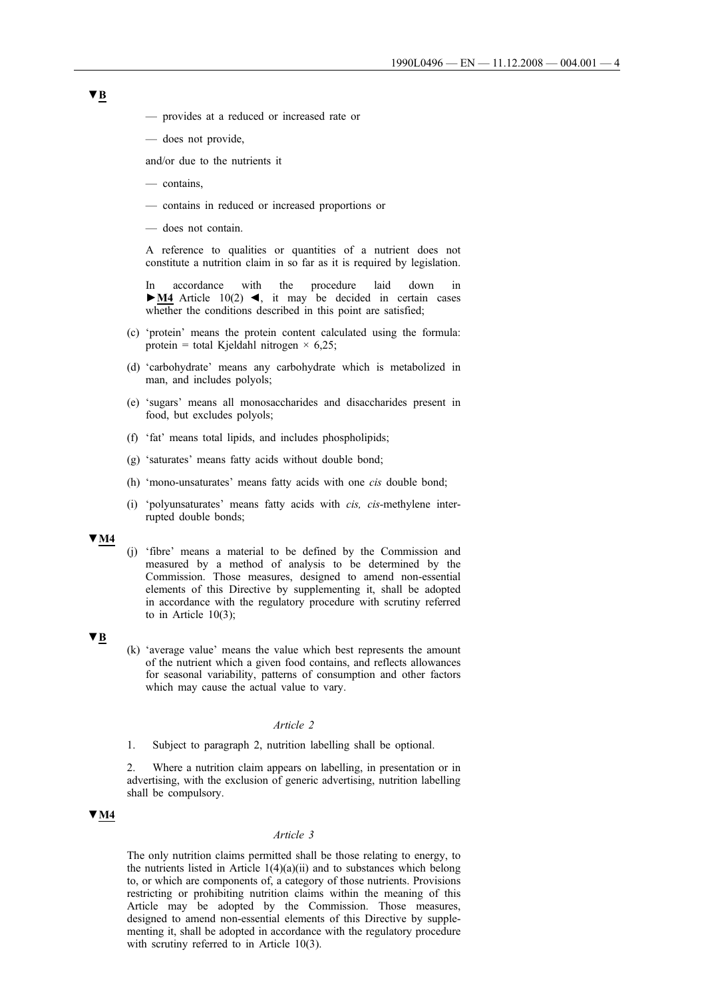- provides at a reduced or increased rate or
- does not provide,

and/or due to the nutrients it

- contains,
- contains in reduced or increased proportions or
- does not contain.

A reference to qualities or quantities of a nutrient does not constitute a nutrition claim in so far as it is required by legislation.

In accordance with the procedure laid down in **►M4** Article 10(2) ◄, it may be decided in certain cases whether the conditions described in this point are satisfied;

- (c) 'protein' means the protein content calculated using the formula: protein = total Kjeldahl nitrogen  $\times$  6,25;
- (d) 'carbohydrate' means any carbohydrate which is metabolized in man, and includes polyols;
- (e) 'sugars' means all monosaccharides and disaccharides present in food, but excludes polyols;
- (f) 'fat' means total lipids, and includes phospholipids;
- (g) 'saturates' means fatty acids without double bond;
- (h) 'mono-unsaturates' means fatty acids with one *cis* double bond;
- (i) 'polyunsaturates' means fatty acids with *cis, cis-*methylene interrupted double bonds;

## **▼M4**

(j) 'fibre' means a material to be defined by the Commission and measured by a method of analysis to be determined by the Commission. Those measures, designed to amend non-essential elements of this Directive by supplementing it, shall be adopted in accordance with the regulatory procedure with scrutiny referred to in Article  $10(3)$ ;

## **▼B**

(k) 'average value' means the value which best represents the amount of the nutrient which a given food contains, and reflects allowances for seasonal variability, patterns of consumption and other factors which may cause the actual value to vary.

#### *Article 2*

1. Subject to paragraph 2, nutrition labelling shall be optional.

2. Where a nutrition claim appears on labelling, in presentation or in advertising, with the exclusion of generic advertising, nutrition labelling shall be compulsory.

# **▼M4**

### *Article 3*

The only nutrition claims permitted shall be those relating to energy, to the nutrients listed in Article 1(4)(a)(ii) and to substances which belong to, or which are components of, a category of those nutrients. Provisions restricting or prohibiting nutrition claims within the meaning of this Article may be adopted by the Commission. Those measures, designed to amend non-essential elements of this Directive by supplementing it, shall be adopted in accordance with the regulatory procedure with scrutiny referred to in Article 10(3).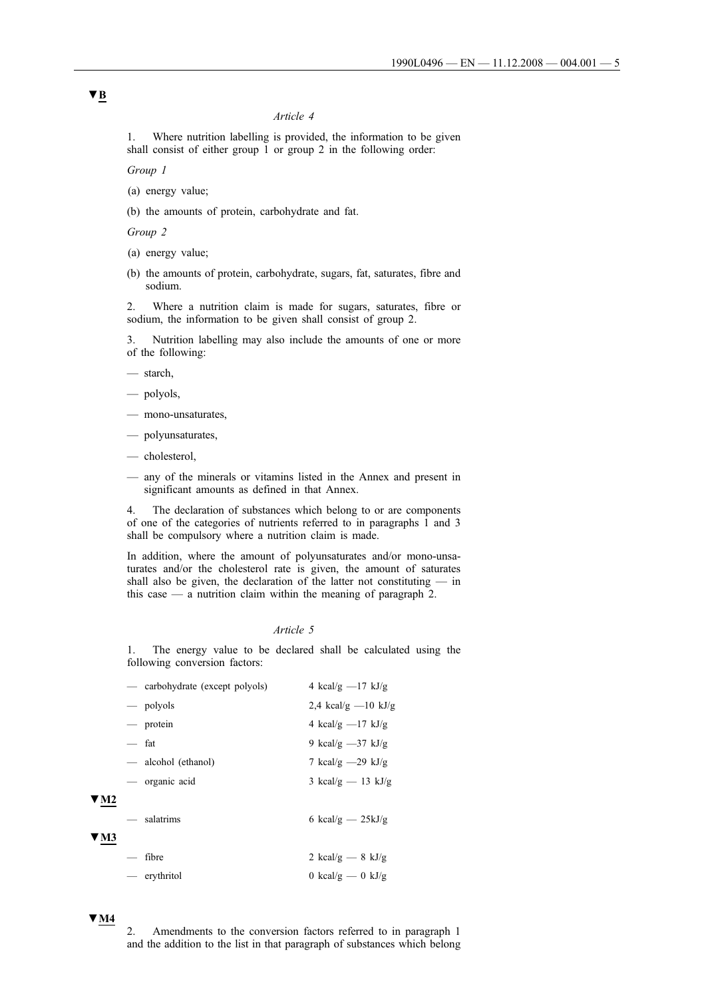## *Article 4*

1. Where nutrition labelling is provided, the information to be given shall consist of either group 1 or group 2 in the following order:

*Group 1*

- (a) energy value;
- (b) the amounts of protein, carbohydrate and fat.

*Group 2*

- (a) energy value;
- (b) the amounts of protein, carbohydrate, sugars, fat, saturates, fibre and sodium.

2. Where a nutrition claim is made for sugars, saturates, fibre or sodium, the information to be given shall consist of group 2.

3. Nutrition labelling may also include the amounts of one or more of the following:

— starch,

- polyols,
- mono-unsaturates,
- polyunsaturates,
- cholesterol,
- any of the minerals or vitamins listed in the Annex and present in significant amounts as defined in that Annex.

4. The declaration of substances which belong to or are components of one of the categories of nutrients referred to in paragraphs 1 and 3 shall be compulsory where a nutrition claim is made.

In addition, where the amount of polyunsaturates and/or mono-unsaturates and/or the cholesterol rate is given, the amount of saturates shall also be given, the declaration of the latter not constituting — in this case — a nutrition claim within the meaning of paragraph 2.

### *Article 5*

1. The energy value to be declared shall be calculated using the following conversion factors:

|                          | - carbohydrate (except polyols) | 4 kcal/g $-17$ kJ/g   |
|--------------------------|---------------------------------|-----------------------|
|                          | — polyols                       | 2,4 kcal/g $-10$ kJ/g |
|                          | — protein                       | 4 kcal/g $-17$ kJ/g   |
|                          | — fat                           | 9 kcal/g $-37$ kJ/g   |
|                          | — alcohol (ethanol)             | 7 kcal/g $-29$ kJ/g   |
|                          | — organic acid                  | 3 kcal/g $-$ 13 kJ/g  |
|                          | — salatrims                     | 6 kcal/g $-$ 25kJ/g   |
| $\overline{\phantom{m}}$ | fibre                           | 2 kcal/g $-$ 8 kJ/g   |
|                          | — erythritol                    | 0 kcal/g — 0 kJ/g     |

# **▼M4**

**▼M2**

**▼M3**

2. Amendments to the conversion factors referred to in paragraph 1 and the addition to the list in that paragraph of substances which belong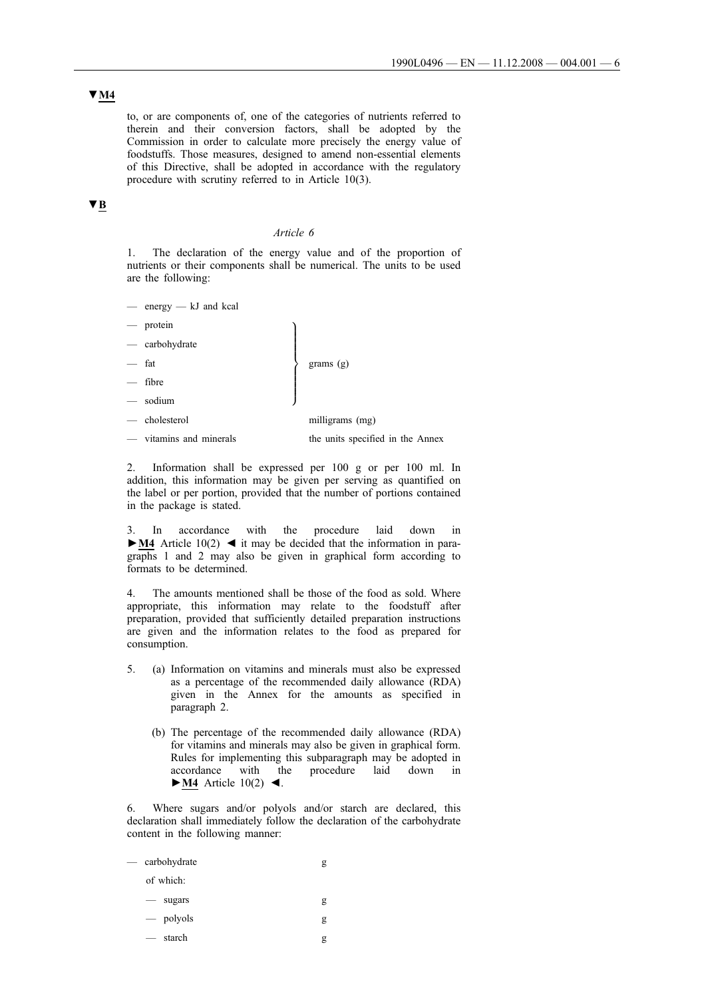**▼M4**

to, or are components of, one of the categories of nutrients referred to therein and their conversion factors, shall be adopted by the Commission in order to calculate more precisely the energy value of foodstuffs. Those measures, designed to amend non-essential elements of this Directive, shall be adopted in accordance with the regulatory procedure with scrutiny referred to in Article 10(3).

# **▼B**

## *Article 6*

1. The declaration of the energy value and of the proportion of nutrients or their components shall be numerical. The units to be used are the following:

- energy kJ and kcal
- protein
- $\left| \right|$  $\int$ grams (g) — carbohydrate — fat — fibre — sodium — cholesterol milligrams (mg)
- vitamins and minerals the units specified in the Annex

2. Information shall be expressed per 100 g or per 100 ml. In addition, this information may be given per serving as quantified on the label or per portion, provided that the number of portions contained in the package is stated.

3. In accordance with the procedure laid down in **►M4** Article 10(2) ◄ it may be decided that the information in paragraphs 1 and 2 may also be given in graphical form according to formats to be determined.

4. The amounts mentioned shall be those of the food as sold. Where appropriate, this information may relate to the foodstuff after preparation, provided that sufficiently detailed preparation instructions are given and the information relates to the food as prepared for consumption.

- 5. (a) Information on vitamins and minerals must also be expressed as a percentage of the recommended daily allowance (RDA) given in the Annex for the amounts as specified in paragraph 2.
	- (b) The percentage of the recommended daily allowance (RDA) for vitamins and minerals may also be given in graphical form. Rules for implementing this subparagraph may be adopted in accordance with the procedure laid down in **►M4** Article 10(2) ◄.

6. Where sugars and/or polyols and/or starch are declared, this declaration shall immediately follow the declaration of the carbohydrate content in the following manner:

| — carbohydrate                     |   |
|------------------------------------|---|
| of which:                          |   |
| sugars<br>$\overline{\phantom{m}}$ | g |
| $\equiv$ polyols                   | g |
| — starch                           | g |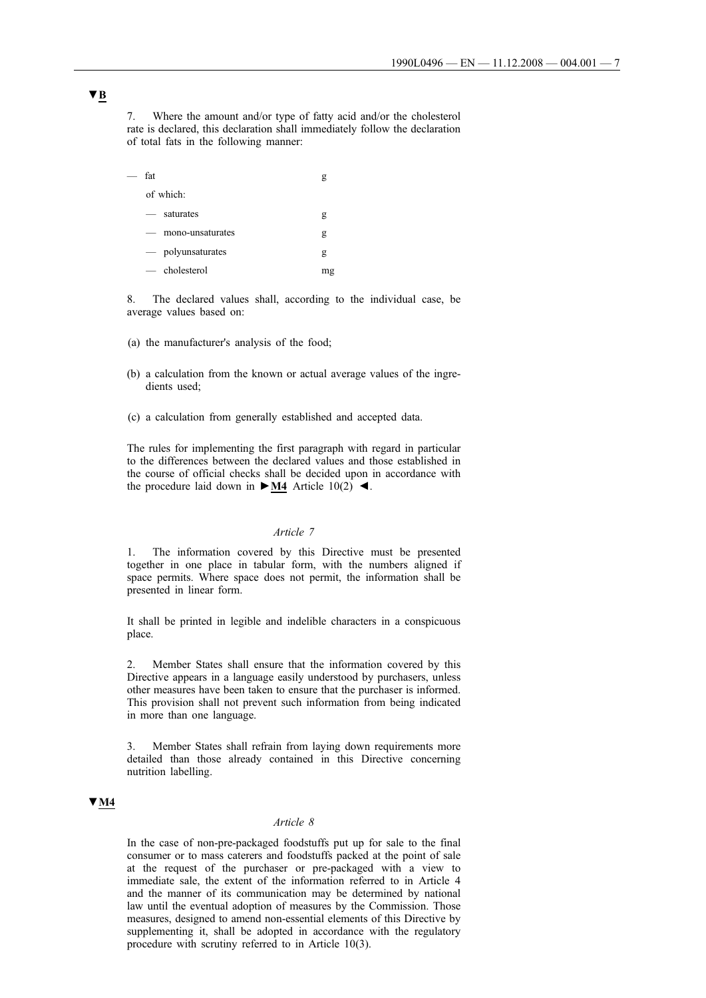7. Where the amount and/or type of fatty acid and/or the cholesterol rate is declared, this declaration shall immediately follow the declaration of total fats in the following manner:

| fat                                          | g  |
|----------------------------------------------|----|
| of which:                                    |    |
| saturates<br>$\overline{\phantom{0}}$        | g  |
| mono-unsaturates<br>$\overline{\phantom{0}}$ | g  |
| - polyunsaturates                            | g  |
| $-$ cholesterol                              | mg |

8. The declared values shall, according to the individual case, be average values based on:

- (a) the manufacturer's analysis of the food;
- (b) a calculation from the known or actual average values of the ingredients used;
- (c) a calculation from generally established and accepted data.

The rules for implementing the first paragraph with regard in particular to the differences between the declared values and those established in the course of official checks shall be decided upon in accordance with the procedure laid down in  $\blacktriangleright$  **M4** Article 10(2)  $\blacktriangleleft$ .

#### *Article 7*

1. The information covered by this Directive must be presented together in one place in tabular form, with the numbers aligned if space permits. Where space does not permit, the information shall be presented in linear form.

It shall be printed in legible and indelible characters in a conspicuous place.

Member States shall ensure that the information covered by this Directive appears in a language easily understood by purchasers, unless other measures have been taken to ensure that the purchaser is informed. This provision shall not prevent such information from being indicated in more than one language.

3. Member States shall refrain from laying down requirements more detailed than those already contained in this Directive concerning nutrition labelling.

# **▼M4**

## *Article 8*

In the case of non-pre-packaged foodstuffs put up for sale to the final consumer or to mass caterers and foodstuffs packed at the point of sale at the request of the purchaser or pre-packaged with a view to immediate sale, the extent of the information referred to in Article 4 and the manner of its communication may be determined by national law until the eventual adoption of measures by the Commission. Those measures, designed to amend non-essential elements of this Directive by supplementing it, shall be adopted in accordance with the regulatory procedure with scrutiny referred to in Article 10(3).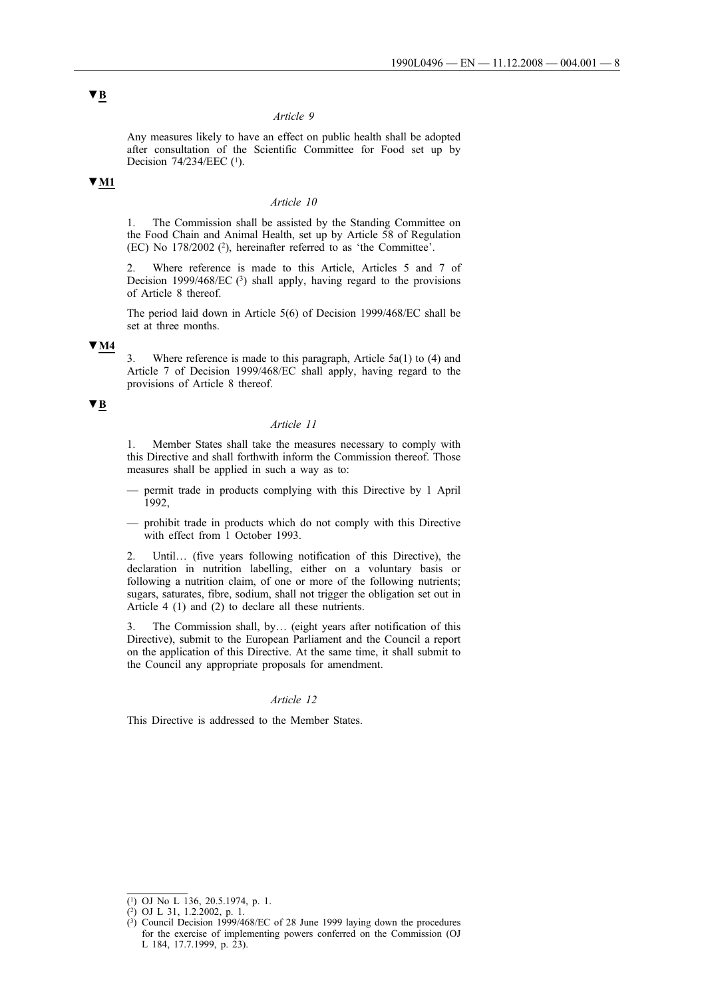#### *Article 9*

Any measures likely to have an effect on public health shall be adopted after consultation of the Scientific Committee for Food set up by Decision 74/234/EEC (<sup>1</sup>).

## **▼M1**

#### *Article 10*

1. The Commission shall be assisted by the Standing Committee on the Food Chain and Animal Health, set up by Article 58 of Regulation (EC) No 178/2002 (2), hereinafter referred to as 'the Committee'.

2. Where reference is made to this Article, Articles 5 and 7 of Decision 1999/468/EC  $(3)$  shall apply, having regard to the provisions of Article 8 thereof.

The period laid down in Article 5(6) of Decision 1999/468/EC shall be set at three months.

#### **▼M4**

3. Where reference is made to this paragraph, Article 5a(1) to (4) and Article 7 of Decision 1999/468/EC shall apply, having regard to the provisions of Article 8 thereof.

## **▼B**

### *Article 11*

1. Member States shall take the measures necessary to comply with this Directive and shall forthwith inform the Commission thereof. Those measures shall be applied in such a way as to:

- permit trade in products complying with this Directive by 1 April 1992,
- prohibit trade in products which do not comply with this Directive with effect from 1 October 1993.

2. Until… (five years following notification of this Directive), the declaration in nutrition labelling, either on a voluntary basis or following a nutrition claim, of one or more of the following nutrients; sugars, saturates, fibre, sodium, shall not trigger the obligation set out in Article 4 (1) and (2) to declare all these nutrients.

3. The Commission shall, by… (eight years after notification of this Directive), submit to the European Parliament and the Council a report on the application of this Directive. At the same time, it shall submit to the Council any appropriate proposals for amendment.

## *Article 12*

This Directive is addressed to the Member States.

 $\overline{(^1)}$  OJ No L 136, 20.5.1974, p. 1.

<sup>(2)</sup> OJ L 31, 1.2.2002, p. 1.

<sup>(3)</sup> Council Decision 1999/468/EC of 28 June 1999 laying down the procedures for the exercise of implementing powers conferred on the Commission (OJ L 184, 17.7.1999, p. 23).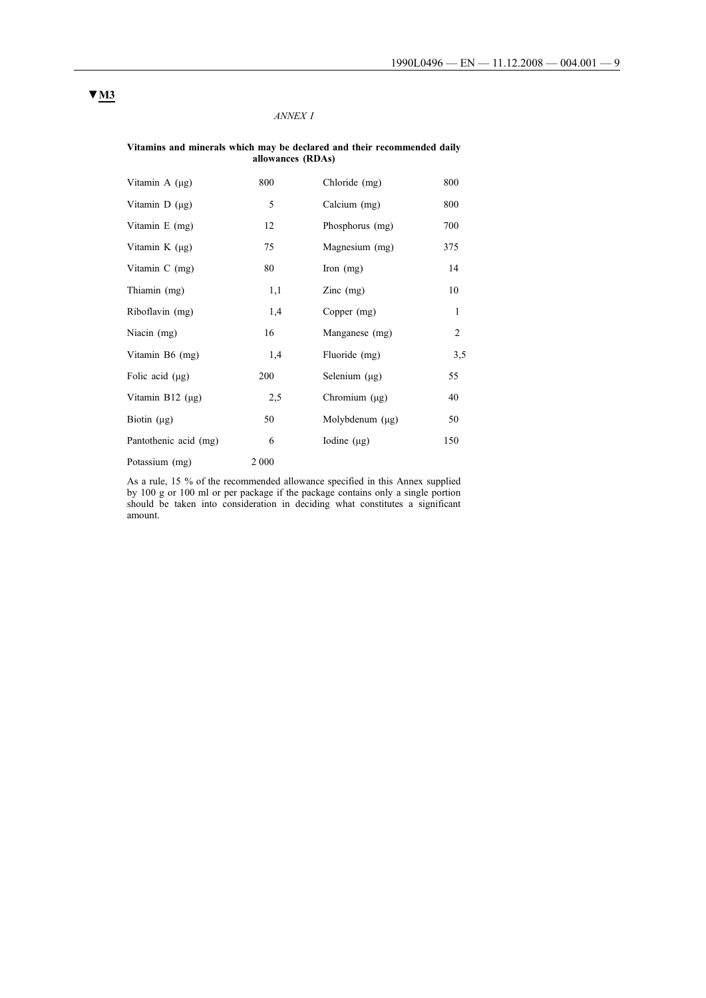# *ANNEX I*

#### **Vitamins and minerals which may be declared and their recommended daily allowances (RDAs)**

| Vitamin A (µg)        | 800   | Chloride (mg)        | 800            |
|-----------------------|-------|----------------------|----------------|
| Vitamin D (µg)        | 5     | Calcium (mg)         | 800            |
| Vitamin E (mg)        | 12    | Phosphorus (mg)      | 700            |
| Vitamin $K(\mu g)$    | 75    | Magnesium (mg)       | 375            |
| Vitamin C (mg)        | 80    | Iron $(mg)$          | 14             |
| Thiamin (mg)          | 1,1   | $\text{Zinc}$ (mg)   | 10             |
| Riboflavin (mg)       | 1,4   | Copper (mg)          | 1              |
| Niacin (mg)           | 16    | Manganese (mg)       | $\overline{2}$ |
| Vitamin B6 (mg)       | 1,4   | Fluoride (mg)        | 3,5            |
| Folic acid $(\mu g)$  | 200   | Selenium (µg)        | 55             |
| Vitamin B12 $(\mu g)$ | 2,5   | Chromium $(\mu g)$   | 40             |
| Biotin $(\mu g)$      | 50    | Molybdenum $(\mu g)$ | 50             |
| Pantothenic acid (mg) | 6     | Iodine $(\mu g)$     | 150            |
| Potassium (mg)        | 2 000 |                      |                |

As a rule, 15 % of the recommended allowance specified in this Annex supplied by 100 g or 100 ml or per package if the package contains only a single portion should be taken into consideration in deciding what constitutes a significant amount.

# **▼M3**